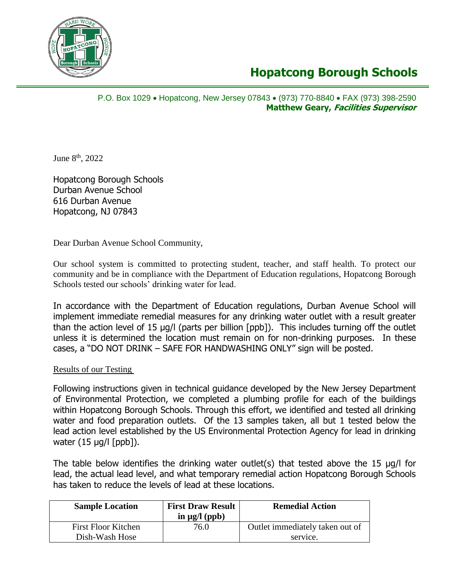

## **Hopatcong Borough Schools**

P.O. Box 1029 Hopatcong, New Jersey 07843 (973) 770-8840 FAX (973) 398-2590 **Matthew Geary, Facilities Supervisor** 

June 8<sup>th</sup>, 2022

Hopatcong Borough Schools Durban Avenue School 616 Durban Avenue Hopatcong, NJ 07843

Dear Durban Avenue School Community,

Our school system is committed to protecting student, teacher, and staff health. To protect our community and be in compliance with the Department of Education regulations, Hopatcong Borough Schools tested our schools' drinking water for lead.

In accordance with the Department of Education regulations, Durban Avenue School will implement immediate remedial measures for any drinking water outlet with a result greater than the action level of 15 µg/l (parts per billion [ppb]). This includes turning off the outlet unless it is determined the location must remain on for non-drinking purposes. In these cases, a "DO NOT DRINK – SAFE FOR HANDWASHING ONLY" sign will be posted.

## Results of our Testing

Following instructions given in technical guidance developed by the New Jersey Department of Environmental Protection, we completed a plumbing profile for each of the buildings within Hopatcong Borough Schools. Through this effort, we identified and tested all drinking water and food preparation outlets. Of the 13 samples taken, all but 1 tested below the lead action level established by the US Environmental Protection Agency for lead in drinking water (15 µg/l [ppb]).

The table below identifies the drinking water outlet(s) that tested above the 15 µg/l for lead, the actual lead level, and what temporary remedial action Hopatcong Borough Schools has taken to reduce the levels of lead at these locations.

| <b>Sample Location</b>                       | <b>First Draw Result</b><br>in $\mu$ g/l (ppb) | <b>Remedial Action</b>                      |
|----------------------------------------------|------------------------------------------------|---------------------------------------------|
| <b>First Floor Kitchen</b><br>Dish-Wash Hose | 76.0                                           | Outlet immediately taken out of<br>service. |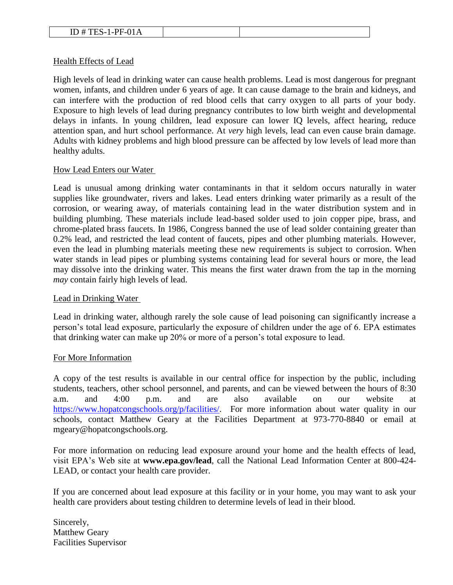## Health Effects of Lead

High levels of lead in drinking water can cause health problems. Lead is most dangerous for pregnant women, infants, and children under 6 years of age. It can cause damage to the brain and kidneys, and can interfere with the production of red blood cells that carry oxygen to all parts of your body. Exposure to high levels of lead during pregnancy contributes to low birth weight and developmental delays in infants. In young children, lead exposure can lower IQ levels, affect hearing, reduce attention span, and hurt school performance. At *very* high levels, lead can even cause brain damage. Adults with kidney problems and high blood pressure can be affected by low levels of lead more than healthy adults.

## How Lead Enters our Water

Lead is unusual among drinking water contaminants in that it seldom occurs naturally in water supplies like groundwater, rivers and lakes. Lead enters drinking water primarily as a result of the corrosion, or wearing away, of materials containing lead in the water distribution system and in building plumbing. These materials include lead-based solder used to join copper pipe, brass, and chrome-plated brass faucets. In 1986, Congress banned the use of lead solder containing greater than 0.2% lead, and restricted the lead content of faucets, pipes and other plumbing materials. However, even the lead in plumbing materials meeting these new requirements is subject to corrosion. When water stands in lead pipes or plumbing systems containing lead for several hours or more, the lead may dissolve into the drinking water. This means the first water drawn from the tap in the morning *may* contain fairly high levels of lead.

## Lead in Drinking Water

Lead in drinking water, although rarely the sole cause of lead poisoning can significantly increase a person's total lead exposure, particularly the exposure of children under the age of 6. EPA estimates that drinking water can make up 20% or more of a person's total exposure to lead.

## For More Information

A copy of the test results is available in our central office for inspection by the public, including students, teachers, other school personnel, and parents, and can be viewed between the hours of 8:30 a.m. and 4:00 p.m. and are also available on our website at [https://www.hopatcongschools.org/p/facilities/.](https://www.hopatcongschools.org/p/facilities/) For more information about water quality in our schools, contact Matthew Geary at the Facilities Department at 973-770-8840 or email at mgeary@hopatcongschools.org.

For more information on reducing lead exposure around your home and the health effects of lead, visit EPA's Web site at **www.epa.gov/lead**, call the National Lead Information Center at 800-424- LEAD, or contact your health care provider.

If you are concerned about lead exposure at this facility or in your home, you may want to ask your health care providers about testing children to determine levels of lead in their blood.

Sincerely, Matthew Geary Facilities Supervisor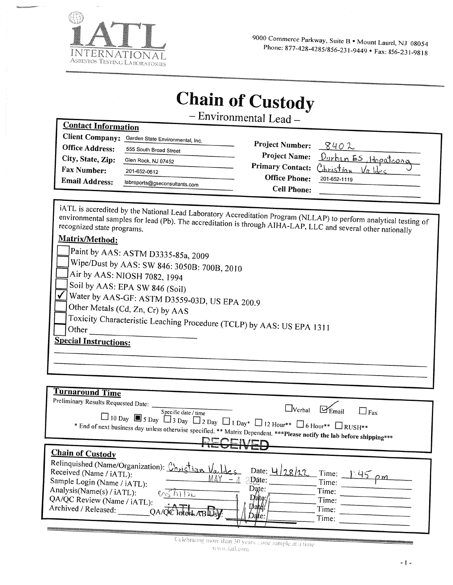

**Contact Information** 

# **Chain of Custody**

- Environmental Lead -

| <b>Client Company:</b> | Garden State Environmental, Inc. |                        |                                      |                                           |
|------------------------|----------------------------------|------------------------|--------------------------------------|-------------------------------------------|
| <b>Office Address:</b> | 555 South Broad Street           | <b>Project Number:</b> |                                      | 8402                                      |
| City, State, Zip:      | Glen Rock, NJ 07452              |                        |                                      | Project Name: <u>Durhan ES, Hopatcong</u> |
| Fax Number:            | 201-652-0612                     |                        | Primary Contact: Christian           | $\sqrt{a}$ ldes                           |
| <b>Email Address:</b>  | labreports@gseconsultants.com    |                        | <b>Office Phone:</b><br>201-652-1119 |                                           |
|                        |                                  |                        | <b>Cell Phone:</b>                   |                                           |
|                        |                                  |                        |                                      |                                           |

iATL is accredited by the National Lead Laboratory Accreditation Program (NLLAP) to perform analytical testing of environmental samples for lead (Pb). The accreditation is through AIHA-LAP, LLC and several other nationally Matrix/Method: Paint by AAS: ASTM D3335-85a, 2009 Wipe/Dust by AAS: SW 846: 3050B: 700B, 2010 Air by AAS: NIOSH 7082, 1994 Soil by AAS: EPA SW 846 (Soil) Water by AAS-GF: ASTM D3559-03D, US EPA 200.9 Other Metals (Cd, Zn, Cr) by AAS Toxicity Characteristic Leaching Procedure (TCLP) by AAS: US EPA 1311 Other

## **Special Instructions:**

| <b>Turnaround Time</b>                                                                                                   |
|--------------------------------------------------------------------------------------------------------------------------|
| Preliminary Results Requested Date:                                                                                      |
| $\Box$ Verbal<br>$\Box$ Fax<br>Specific date / time                                                                      |
|                                                                                                                          |
| $\Box$ 10 Day $\Box$ 5 Day $\Box$ 3 Day $\Box$ 2 Day $\Box$ 1 Day* $\Box$ 12 Hour** $\Box$ 6 Hour** $\Box$ RUSH**        |
| * End of next business day unless otherwise specified. ** Matrix Dependent. *** Please notify the lab before shipping*** |
| <b>DECEN/EF</b>                                                                                                          |
| <b>Chain of Custody</b>                                                                                                  |
|                                                                                                                          |
| Relinquished (Name/Organization): Christian Valdes<br>Date: $4/28/22$                                                    |
| Received (Name / iATL):<br>Time:<br>145<br>nт<br>MΔY                                                                     |
| Dâte:<br>Sample Login (Name / iATL):<br>Time:                                                                            |
| Date:<br>Analysis(Name(s) / iATL):<br>Time:                                                                              |
| $D$ ate:/<br>QA/QC Review (Name / iATL):<br>Time:                                                                        |
| Datey<br>Archived / Released:<br>Time:                                                                                   |
| Date:<br>Time:                                                                                                           |
|                                                                                                                          |

Celebrating more than 30 years...one sample at a time  $n$ ww.iafl.com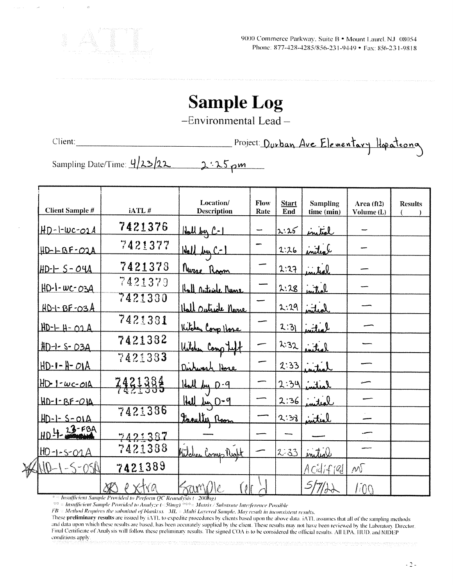

9000 Commerce Parkway, Suite B · Mount Laurel, NJ 08054 Phone: 877-428-4285/856-231-9449 • Fax: 856-231-9818

# **Sample Log**

-Environmental Lead-

Client:

 $\lambda_{0}^{2}$ 

Project: Durban Ave Elementary Hopateong

Sampling Date/Time: 4/23/22  $2.25 \text{pm}$ 

| <b>Client Sample #</b> | iATL#                      | Location/<br><b>Description</b> | Flow<br>Rate | <b>Start</b><br>End | <b>Sampling</b><br>time (min) | Area $(ft2)$<br>Volume (L) | <b>Results</b> |
|------------------------|----------------------------|---------------------------------|--------------|---------------------|-------------------------------|----------------------------|----------------|
| $HD-l-wc-02A$          | 7421376                    | Hall by C-1                     |              | 2:25                | inital                        |                            |                |
| HD-LBF-02A             | 7421377                    | Hall by C-1                     |              | 2:26                | inited                        |                            |                |
| $HD - I - S - O4A$     | 7421378                    | <u>Nuzse Room</u>               |              | 2:27                | initeel                       |                            |                |
| <u>HD-1-WC-03A</u>     | 7421379                    | <u>Hall Outside Nune</u>        |              | 2:28                | initial                       |                            |                |
| $HD-1-BF-O3A$          | 7421330                    | <u>Itall Outride Name</u>       |              | 2:29                | لمعلتين                       |                            |                |
| $HD-H-H- O2A$          | 7421381                    | Kitchen Comp Hose               |              | 2:31                | لمعلسه                        |                            |                |
| $HD - 1 - S - O3A$     | 7421382                    | Witcher Comp teft               |              | 2.32                | lotine                        |                            |                |
| $HD - I - H - OIA$     | 7421383                    | Dishwash Hore                   |              | 2:33                | inter                         |                            |                |
| $HD-1-wc-OIA$          | <u> 7421384</u><br>7421385 | Hall by D-9                     |              | 2:34                | المنانس                       |                            |                |
| <u> HD-1-BF-01A</u>    |                            | Hall by 0-9                     |              | 2:36                | niteal                        |                            |                |
| $HD-1-5-01A$           | 7421386                    | Freutly Room                    |              | 2:38                | interl                        |                            |                |
| HD 4-23-FBA            | 7421387                    |                                 |              |                     |                               |                            |                |
| $HD - 1 - S - O 1 A$   | 7421388                    | Kitchen Comp Right              |              | $2 - 33$            | initial                       |                            |                |
| JND-<br>QSE            | 7421389                    |                                 |              |                     | Acilif1Ql                     | $\mathcal{W}$              |                |
|                        | e xtva<br>$\chi\!\!\chi$   | Franklje<br>Í ê                 |              |                     | 5/7/4                         | 1100                       |                |

<sup>3</sup> = Insufficient Sample Provided to Perform QC Reanalysis (<200htg)

<sup>40</sup> = Insufficient Sample Provided to Analyze (<50mg)<sup>2000</sup> = Matrix / Substrate Interference Possible

FB = Method Requires the submittal of blankts). ML = Multi Layered Sample. May result in inconsistent results.

These preliminary results are issued by iATL to expedite procedures by clients based upon the above data. iATL assumes that all of the sampling methods and data upon which these results are based, has been accurately supplied by the client. These results may not have been reviewed by the Laboratory Director. Final Certificate of Analysis will follow these preliminary results. The signed COA is to be considered the official results. All EPA, HUD, and NJDEP conditions apply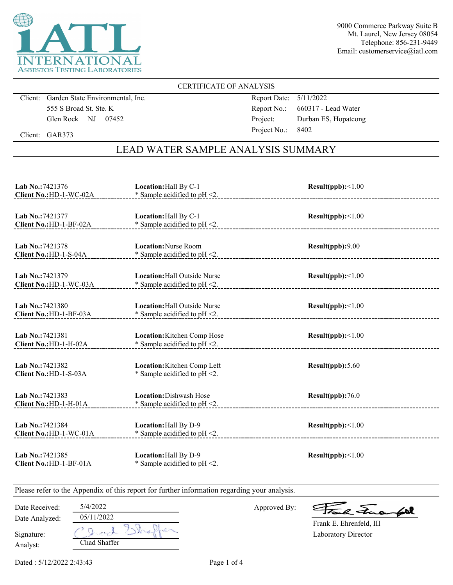

## CERTIFICATE OF ANALYSIS

Client: Garden State Environmental, Inc. 555 S Broad St. Ste. K Glen Rock NJ 07452

Report Date: 5/11/2022 Report No.: 660317 - Lead Water Project: Durban ES, Hopatcong Project No.: 8402

Client: GAR373

## LEAD WATER SAMPLE ANALYSIS SUMMARY

| Lab No.:7421376<br>Client No.: HD-1-WC-02A  | Location: Hall By C-1<br>* Sample acidified to pH <2.                   | Result(ppb):<1.00 |
|---------------------------------------------|-------------------------------------------------------------------------|-------------------|
| Lab No.: 7421377<br>Client No.: HD-1-BF-02A | Location: Hall By C-1<br>$*$ Sample acidified to pH <2.                 | Result(ppb):<1.00 |
| Lab No.: 7421378<br>Client No.: HD-1-S-04A  | <b>Location: Nurse Room</b><br>* Sample acidified to pH <2.             | Result(ppb):9.00  |
| Lab No.: 7421379<br>Client No.: HD-1-WC-03A | <b>Location:</b> Hall Outside Nurse<br>* Sample acidified to $pH < 2$ . | Result(ppb):<1.00 |
| Lab No.:7421380<br>Client No.: HD-1-BF-03A  | <b>Location:</b> Hall Outside Nurse<br>* Sample acidified to $pH < 2$ . | Result(ppb):<1.00 |
| Lab No.: 7421381<br>Client No.: HD-1-H-02A  | Location: Kitchen Comp Hose<br>* Sample acidified to $pH < 2$ .         | Result(ppb):<1.00 |
| Lab No.: 7421382<br>Client No.: HD-1-S-03A  | Location: Kitchen Comp Left<br>* Sample acidified to pH <2.             | Result(ppb): 5.60 |
| Lab No.: 7421383<br>Client No.: HD-1-H-01A  | Location: Dishwash Hose<br>* Sample acidified to $pH < 2$ .             | Result(ppb):76.0  |
| Lab No.: 7421384<br>Client No.: HD-1-WC-01A | Location: Hall By D-9<br>* Sample acidified to $pH < 2$ .               | Result(ppb):<1.00 |
| Lab No.: 7421385<br>Client No.: HD-1-BF-01A | Location: Hall By D-9<br>* Sample acidified to $pH < 2$ .               | Result(ppb):<1.00 |

Please refer to the Appendix of this report for further information regarding your analysis.

| Date Received: | 5/4/2022     |
|----------------|--------------|
| Date Analyzed: | 05/11/2022   |
| Signature:     | レーズレイ        |
| Analyst:       | Chad Shaffer |

Approved By:

a Juan 602

Laboratory Director Frank E. Ehrenfeld, III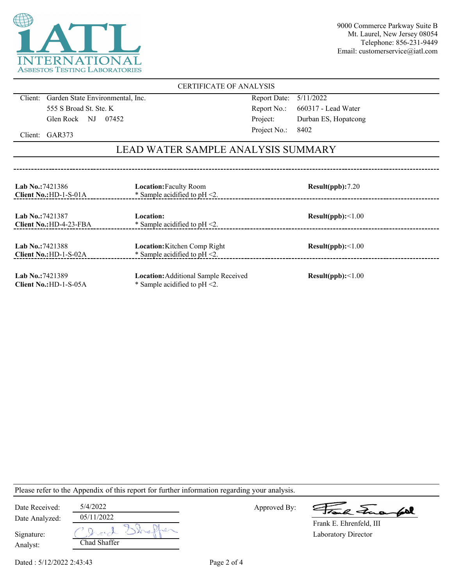

## CERTIFICATE OF ANALYSIS

Client: Garden State Environmental, Inc. 555 S Broad St. Ste. K Glen Rock NJ 07452

Report Date: 5/11/2022 Report No.: 660317 - Lead Water Project: Durban ES, Hopatcong Project No.: 8402

Client: GAR373

## LEAD WATER SAMPLE ANALYSIS SUMMARY

| <b>Lab No.: 7421386</b><br>Client No.: HD-1-S-01A | <b>Location:</b> Faculty Room<br>* Sample acidified to $pH < 2$ .               | Result(ppb):7.20  |
|---------------------------------------------------|---------------------------------------------------------------------------------|-------------------|
| Lab No.: 7421387<br>$Client No.:HD-4-23-FBA$      | Location:<br>* Sample acidified to $pH < 2$ .                                   | Result(ppb):<1.00 |
| <b>Lab No.: 7421388</b><br>Client No.: HD-1-S-02A | <b>Location:</b> Kitchen Comp Right<br>* Sample acidified to $pH < 2$ .         | Result(ppb):<1.00 |
| Lab No.: 7421389<br>Client $No.:HD-1-S-05A$       | <b>Location:</b> Additional Sample Received<br>* Sample acidified to $pH < 2$ . | Result(ppb):<1.00 |

Please refer to the Appendix of this report for further information regarding your analysis.

| Date Received: | 5/4/2022     | Approved By: | Frank Funantel          |
|----------------|--------------|--------------|-------------------------|
| Date Analyzed: | 05/11/2022   |              | Frank E. Ehrenfeld, III |
| Signature:     | Over         |              | Laboratory Director     |
| Analyst:       | Chad Shaffer |              |                         |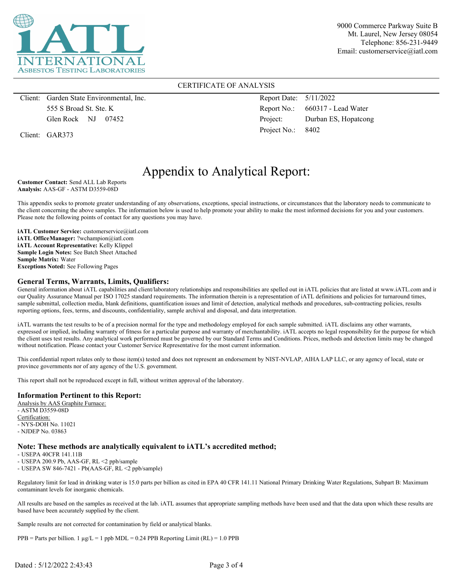

## CERTIFICATE OF ANALYSIS

Client: Garden State Environmental, Inc. 555 S Broad St. Ste. K Glen Rock NJ 07452

Client: GAR373

Report Date: 5/11/2022 Report No.: 660317 - Lead Water Project: Durban ES, Hopatcong Project No.: 8402

## Appendix to Analytical Report:

**Customer Contact:** Send ALL Lab Reports **Analysis:** AAS-GF - ASTM D3559-08D

This appendix seeks to promote greater understanding of any observations, exceptions, special instructions, or circumstances that the laboratory needs to communicate to the client concerning the above samples. The information below is used to help promote your ability to make the most informed decisions for you and your customers. Please note the following points of contact for any questions you may have.

**iATL Customer Service:** customerservice@iatl.com **iATL OfficeManager:** ?wchampion@iatl.com **iATL Account Representative:** Kelly Klippel **Sample Login Notes:** See Batch Sheet Attached **Sample Matrix:** Water **Exceptions Noted:** See Following Pages

#### **General Terms, Warrants, Limits, Qualifiers:**

General information about iATL capabilities and client/laboratory relationships and responsibilities are spelled out in iATL policies that are listed at www.iATL.com and in our Quality Assurance Manual per ISO 17025 standard requirements. The information therein is a representation of iATL definitions and policies for turnaround times, sample submittal, collection media, blank definitions, quantification issues and limit of detection, analytical methods and procedures, sub-contracting policies, results reporting options, fees, terms, and discounts, confidentiality, sample archival and disposal, and data interpretation.

iATL warrants the test results to be of a precision normal for the type and methodology employed for each sample submitted. iATL disclaims any other warrants, expressed or implied, including warranty of fitness for a particular purpose and warranty of merchantability. iATL accepts no legal responsibility for the purpose for which the client uses test results. Any analytical work performed must be governed by our Standard Terms and Conditions. Prices, methods and detection limits may be changed without notification. Please contact your Customer Service Representative for the most current information.

This confidential report relates only to those item(s) tested and does not represent an endorsement by NIST-NVLAP, AIHA LAP LLC, or any agency of local, state or province governments nor of any agency of the U.S. government.

This report shall not be reproduced except in full, without written approval of the laboratory.

### **Information Pertinent to this Report:**

Analysis by AAS Graphite Furnace: - ASTM D3559-08D Certification: - NYS-DOH No. 11021 - NJDEP No. 03863

### **Note: These methods are analytically equivalent to iATL's accredited method;**

- USEPA 40CFR 141.11B

- USEPA 200.9 Pb, AAS-GF, RL <2 ppb/sample

- USEPA SW 846-7421 - Pb(AAS-GF, RL <2 ppb/sample)

Regulatory limit for lead in drinking water is 15.0 parts per billion as cited in EPA 40 CFR 141.11 National Primary Drinking Water Regulations, Subpart B: Maximum contaminant levels for inorganic chemicals.

All results are based on the samples as received at the lab. iATL assumes that appropriate sampling methods have been used and that the data upon which these results are based have been accurately supplied by the client.

Sample results are not corrected for contamination by field or analytical blanks.

 $PPB =$  Parts per billion. 1  $\mu g/L = 1$  ppb MDL = 0.24 PPB Reporting Limit (RL) = 1.0 PPB